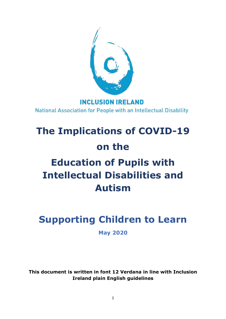

### **INCLUSION IRELAND** National Association for People with an Intellectual Disability

# **The Implications of COVID-19 on the Education of Pupils with Intellectual Disabilities and Autism**

## **Supporting Children to Learn**

**May 2020**

**This document is written in font 12 Verdana in line with Inclusion Ireland plain English guidelines**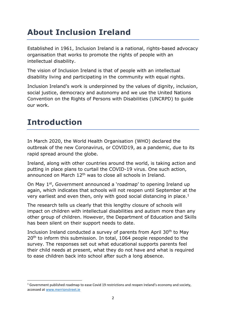### **About Inclusion Ireland**

Established in 1961, Inclusion Ireland is a national, rights-based advocacy organisation that works to promote the rights of people with an intellectual disability.

The vision of Inclusion Ireland is that of people with an intellectual disability living and participating in the community with equal rights.

Inclusion Ireland's work is underpinned by the values of dignity, inclusion, social justice, democracy and autonomy and we use the United Nations Convention on the Rights of Persons with Disabilities (UNCRPD) to guide our work.

### **Introduction**

In March 2020, the World Health Organisation (WHO) declared the outbreak of the new Coronavirus, or COVID19, as a pandemic, due to its rapid spread around the globe.

Ireland, along with other countries around the world, is taking action and putting in place plans to curtail the COVID-19 virus. One such action, announced on March 12<sup>th</sup> was to close all schools in Ireland.

On May 1<sup>st</sup>, Government announced a 'roadmap' to opening Ireland up again, which indicates that schools will not reopen until September at the very earliest and even then, only with good social distancing in place.<sup>1</sup>

The research tells us clearly that this lengthy closure of schools will impact on children with intellectual disabilities and autism more than any other group of children. However, the Department of Education and Skills has been silent on their support needs to date.

Inclusion Ireland conducted a survey of parents from April  $30<sup>th</sup>$  to May 20<sup>th</sup> to inform this submission. In total, 1064 people responded to the survey. The responses set out what educational supports parents feel their child needs at present, what they do not have and what is required to ease children back into school after such a long absence.

 $1$  Government published roadmap to ease Covid 19 restrictions and reopen Ireland's economy and society, accessed at [www.merrionstreet.ie](http://www.merrionstreet.ie/)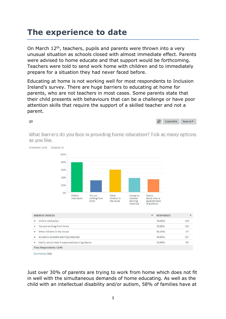### **The experience to date**

On March 12<sup>th</sup>, teachers, pupils and parents were thrown into a very unusual situation as schools closed with almost immediate effect. Parents were advised to home educate and that support would be forthcoming. Teachers were told to send work home with children and to immediately prepare for a situation they had never faced before.

Educating at home is not working well for most respondents to Inclusion Ireland's survey. There are huge barriers to educating at home for parents, who are not teachers in most cases. Some parents state that their child presents with behaviours that can be a challenge or have poor attention skills that require the support of a skilled teacher and not a parent.

Customize Save as  $Q3$ ♦ What barriers do you face in providing home education? Tick as many options as you like. Answered: 1,048 Skipped: 16 100% 80% 60% 40% 20% 0% Child's You are Other Access to Clarity motivation working from children in suitable about what is expected/lack the house learning home materials of guidance  $\check{\phantom{a}}$ ANSWER CHOICES ۰ **RESPONSES** Child's motivation 78.05% 818 v You are working from home 30.82% 323 • Other children in the house 58.30% 611 36.93% 387 Access to suitable learning materials 33.49% • Clarity about what is expected/lack of guidance 351 **Total Respondents: 1,048** Comments (169)

Just over 30% of parents are trying to work from home which does not fit in well with the simultaneous demands of home educating. As well as the child with an intellectual disability and/or autism, 58% of families have at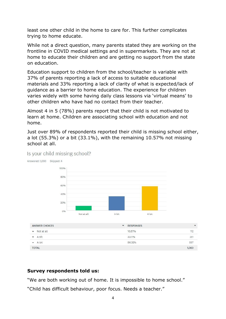least one other child in the home to care for. This further complicates trying to home educate.

While not a direct question, many parents stated they are working on the frontline in COVID medical settings and in supermarkets. They are not at home to educate their children and are getting no support from the state on education.

Education support to children from the school/teacher is variable with 37% of parents reporting a lack of access to suitable educational materials and 33% reporting a lack of clarity of what is expected/lack of guidance as a barrier to home education. The experience for children varies widely with some having daily class lessons via 'virtual means' to other children who have had no contact from their teacher.

Almost 4 in 5 (78%) parents report that their child is not motivated to learn at home. Children are associating school with education and not home.

Just over 89% of respondents reported their child is missing school either, a lot (55.3%) or a bit (33.1%), with the remaining 10.57% not missing school at all.



#### Is your child missing school?

#### **Survey respondents told us:**

"We are both working out of home. It is impossible to home school."

"Child has difficult behaviour, poor focus. Needs a teacher."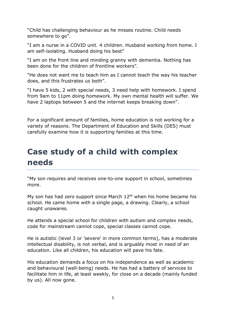"Child has challenging behaviour as he misses routine. Child needs somewhere to go".

"I am a nurse in a COVID unit. 4 children. Husband working from home. I am self-isolating. Husband doing his best"

"I am on the front line and minding granny with dementia. Nothing has been done for the children of frontline workers".

"He does not want me to teach him as I cannot teach the way his teacher does, and this frustrates us both".

"I have 5 kids, 2 with special needs, 3 need help with homework. I spend from 9am to 11pm doing homework. My own mental health will suffer. We have 2 laptops between 5 and the internet keeps breaking down".

For a significant amount of families, home education is not working for a variety of reasons. The Department of Education and Skills (DES) must carefully examine how it is supporting families at this time.

### **Case study of a child with complex needs**

"My son requires and receives one-to-one support in school, sometimes more.

My son has had zero support since March  $12<sup>th</sup>$  when his home became his school. He came home with a single page, a drawing. Clearly, a school caught unawares.

He attends a special school for children with autism and complex needs, code for mainstream cannot cope, special classes cannot cope.

He is autistic (level 3 or 'severe' in more common terms), has a moderate intellectual disability, is not verbal, and is arguably most in need of an education. Like all children, his education will pave his fate.

His education demands a focus on his independence as well as academic and behavioural (well-being) needs. He has had a battery of services to facilitate him in life, at least weekly, for close on a decade (mainly funded by us). All now gone.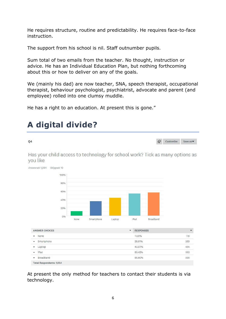He requires structure, routine and predictability. He requires face-to-face instruction.

The support from his school is nil. Staff outnumber pupils.

Sum total of two emails from the teacher. No thought, instruction or advice. He has an Individual Education Plan, but nothing forthcoming about this or how to deliver on any of the goals.

We (mainly his dad) are now teacher, SNA, speech therapist, occupational therapist, behaviour psychologist, psychiatrist, advocate and parent (and employee) rolled into one clumsy muddle.

He has a right to an education. At present this is gone."



Has your child access to technology for school work? Tick as many options as vou like



At present the only method for teachers to contact their students is via technology.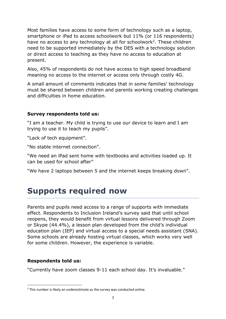Most families have access to some form of technology such as a laptop, smartphone or iPad to access schoolwork but 11% (or 116 respondents) have no access to any technology at all for schoolwork<sup>2</sup>. These children need to be supported immediately by the DES with a technology solution or direct access to teaching as they have no access to education at present.

Also, 45% of respondents do not have access to high speed broadband meaning no access to the internet or access only through costly 4G.

A small amount of comments indicates that in some families' technology must be shared between children and parents working creating challenges and difficulties in home education.

#### **Survey respondents told us:**

"I am a teacher. My child is trying to use our device to learn and I am trying to use it to teach my pupils".

"Lack of tech equipment".

"No stable internet connection".

"We need an iPad sent home with textbooks and activities loaded up. It can be used for school after"

"We have 2 laptops between 5 and the internet keeps breaking down".

### **Supports required now**

Parents and pupils need access to a range of supports with immediate effect. Respondents to Inclusion Ireland's survey said that until school reopens, they would benefit from virtual lessons delivered through Zoom or Skype (44.4%), a lesson plan developed from the child's individual education plan (IEP) and virtual access to a special needs assistant (SNA). Some schools are already hosting virtual classes, which works very well for some children. However, the experience is variable.

#### **Respondents told us:**

"Currently have zoom classes 9-11 each school day. It's invaluable."

 $2$  This number is likely an underestimate as the survey was conducted online.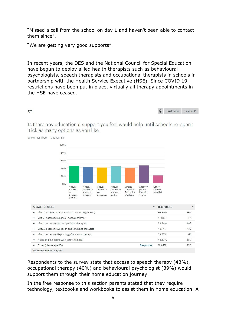"Missed a call from the school on day 1 and haven't been able to contact them since".

"We are getting very good supports".

In recent years, the DES and the National Council for Special Education have begun to deploy allied health therapists such as behavioural psychologists, speech therapists and occupational therapists in schools in partnership with the Health Service Executive (HSE). Since COVID 19 restrictions have been put in place, virtually all therapy appointments in the HSE have ceased.



Is there any educational support you feel would help until schools re-open? Tick as many options as you like.



Answered: 1,009 Skipped: 55

02

| <b>ANSWER CHOICES</b>                                   | $\checkmark$ | <b>RESPONSES</b> |     |
|---------------------------------------------------------|--------------|------------------|-----|
| Virtual Access to Lessons (via Zoom or Skype etc.)<br>۰ |              | 44.40%           | 448 |
| Virtual access to a special needs assistant<br>۰        |              | 41.23%           | 416 |
| Virtual access to an occupational therapist<br>٠        |              | 39.84%           | 402 |
| Virtual access to a speech and language therapist<br>۰  |              | 43,11%           | 435 |
| Virtual access to Psychology/Behaviour therapy<br>۰     |              | 38,75%           | 391 |
| A lesson plan in line with your child's IE<br>۰         |              | 45.59%           | 460 |
| Other (please specify)                                  | Responses    | 19.82%           | 200 |
| <b>Total Respondents: 1,009</b>                         |              |                  |     |

Respondents to the survey state that access to speech therapy (43%), occupational therapy (40%) and behavioural psychologist (39%) would support them through their home education journey.

In the free response to this section parents stated that they require technology, textbooks and workbooks to assist them in home education. A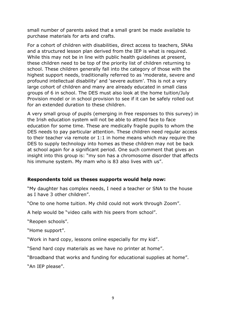small number of parents asked that a small grant be made available to purchase materials for arts and crafts.

For a cohort of children with disabilities, direct access to teachers, SNAs and a structured lesson plan derived from the IEP is what is required. While this may not be in line with public health guidelines at present, these children need to be top of the priority list of children returning to school. These children generally fall into the category of those with the highest support needs, traditionally referred to as 'moderate, severe and profound intellectual disability' and 'severe autism'. This is not a very large cohort of children and many are already educated in small class groups of 6 in school. The DES must also look at the home tuition/July Provision model or in school provision to see if it can be safely rolled out for an extended duration to these children.

A very small group of pupils (emerging in free responses to this survey) in the Irish education system will not be able to attend face to face education for some time. These are medically fragile pupils to whom the DES needs to pay particular attention. These children need regular access to their teacher via remote or 1:1 in home means which may require the DES to supply technology into homes as these children may not be back at school again for a significant period. One such comment that gives an insight into this group is: "my son has a chromosome disorder that affects his immune system. My mam who is 83 also lives with us".

#### **Respondents told us theses supports would help now:**

"My daughter has complex needs, I need a teacher or SNA to the house as I have 3 other children".

"One to one home tuition. My child could not work through Zoom".

A help would be "video calls with his peers from school".

"Reopen schools".

"Home support".

"Work in hard copy, lessons online especially for my kid".

"Send hard copy materials as we have no printer at home".

"Broadband that works and funding for educational supplies at home".

"An IEP please".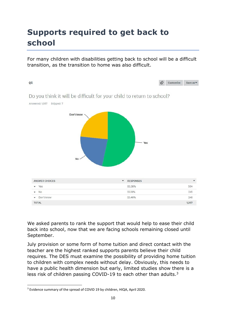### **Supports required to get back to school**

For many children with disabilities getting back to school will be a difficult transition, as the transition to home was also difficult.



We asked parents to rank the support that would help to ease their child back into school, now that we are facing schools remaining closed until September.

July provision or some form of home tuition and direct contact with the teacher are the highest ranked supports parents believe their child requires. The DES must examine the possibility of providing home tuition to children with complex needs without delay. Obviously, this needs to have a public health dimension but early, limited studies show there is a less risk of children passing COVID-19 to each other than adults.<sup>3</sup>

<sup>3</sup> Evidence summary of the spread of COVID 19 by children, HIQA, April 2020.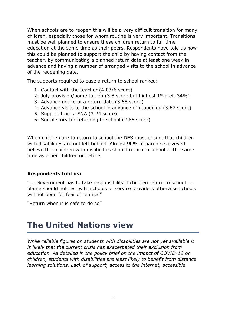When schools are to reopen this will be a very difficult transition for many children, especially those for whom routine is very important. Transitions must be well planned to ensure these children return to full time education at the same time as their peers. Respondents have told us how this could be planned to support the child by having contact from the teacher, by communicating a planned return date at least one week in advance and having a number of arranged visits to the school in advance of the reopening date.

The supports required to ease a return to school ranked:

- 1. Contact with the teacher (4.03/6 score)
- 2. July provision/home tuition  $(3.8 \text{ score but highest } 1^{\text{st}} \text{ pref. } 34\%)$
- 3. Advance notice of a return date (3.68 score)
- 4. Advance visits to the school in advance of reopening (3.67 score)
- 5. Support from a SNA (3.24 score)
- 6. Social story for returning to school (2.85 score)

When children are to return to school the DES must ensure that children with disabilities are not left behind. Almost 90% of parents surveyed believe that children with disabilities should return to school at the same time as other children or before.

#### **Respondents told us:**

".... Government has to take responsibility if children return to school ..... blame should not rest with schools or service providers otherwise schools will not open for fear of reprisal"

"Return when it is safe to do so"

### **The United Nations view**

*While reliable figures on students with disabilities are not yet available it is likely that the current crisis has exacerbated their exclusion from education. As detailed in the policy brief on the impact of COVID-19 on children, students with disabilities are least likely to benefit from distance learning solutions. Lack of support, access to the internet, accessible*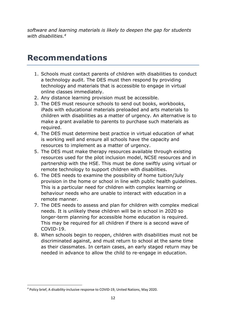*software and learning materials is likely to deepen the gap for students with disabilities.<sup>4</sup>*

### **Recommendations**

- 1. Schools must contact parents of children with disabilities to conduct a technology audit. The DES must then respond by providing technology and materials that is accessible to engage in virtual online classes immediately.
- 2. Any distance learning provision must be accessible.
- 3. The DES must resource schools to send out books, workbooks, iPads with educational materials preloaded and arts materials to children with disabilities as a matter of urgency. An alternative is to make a grant available to parents to purchase such materials as required.
- 4. The DES must determine best practice in virtual education of what is working well and ensure all schools have the capacity and resources to implement as a matter of urgency.
- 5. The DES must make therapy resources available through existing resources used for the pilot inclusion model, NCSE resources and in partnership with the HSE. This must be done swiftly using virtual or remote technology to support children with disabilities.
- 6. The DES needs to examine the possibility of home tuition/July provision in the home or school in line with public health guidelines. This is a particular need for children with complex learning or behaviour needs who are unable to interact with education in a remote manner.
- 7. The DES needs to assess and plan for children with complex medical needs. It is unlikely these children will be in school in 2020 so longer-term planning for accessible home education is required. This may be required for all children if there is a second wave of COVID-19.
- 8. When schools begin to reopen, children with disabilities must not be discriminated against, and must return to school at the same time as their classmates. In certain cases, an early staged return may be needed in advance to allow the child to re-engage in education.

<sup>4</sup> Policy brief, A disability-inclusive response to COVID-19, United Nations, May 2020.